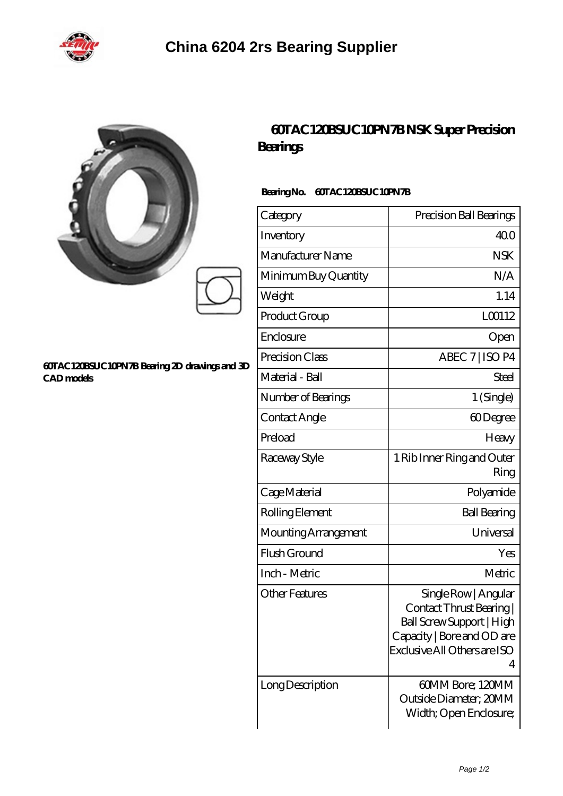

|                                                                    | Bearings                                | 60TAC120BSUC10PN7BNSK Super Precision                                                                                                          |
|--------------------------------------------------------------------|-----------------------------------------|------------------------------------------------------------------------------------------------------------------------------------------------|
| 60TAC120BSUC10PN7B Bearing 2D drawings and 3D<br><b>CAD</b> models | <b>60TAC120BSUC10PN7B</b><br>BearingNo. |                                                                                                                                                |
|                                                                    | Category                                | Precision Ball Bearings                                                                                                                        |
|                                                                    | Inventory                               | 40.0                                                                                                                                           |
|                                                                    | Manufacturer Name                       | <b>NSK</b>                                                                                                                                     |
|                                                                    | Minimum Buy Quantity                    | N/A                                                                                                                                            |
|                                                                    | Weight                                  | 1.14                                                                                                                                           |
|                                                                    | Product Group                           | LC0112                                                                                                                                         |
|                                                                    | Enclosure                               | Open                                                                                                                                           |
|                                                                    | Precision Class                         | ABEC 7   ISO P4                                                                                                                                |
|                                                                    | Material - Ball                         | Steel                                                                                                                                          |
|                                                                    | Number of Bearings                      | 1 (Single)                                                                                                                                     |
|                                                                    | Contact Angle                           | 60Degree                                                                                                                                       |
|                                                                    | Preload                                 | Heavy                                                                                                                                          |
|                                                                    | Raceway Style                           | 1 Rib Inner Ring and Outer<br>Ring                                                                                                             |
|                                                                    | Cage Material                           | Polyamide                                                                                                                                      |
|                                                                    | Rolling Element                         | <b>Ball Bearing</b>                                                                                                                            |
|                                                                    | Mounting Arrangement                    | Universal                                                                                                                                      |
|                                                                    | Flush Ground                            | Yes                                                                                                                                            |
|                                                                    | Inch - Metric                           | Metric                                                                                                                                         |
|                                                                    | <b>Other Features</b>                   | Single Row   Angular<br>Contact Thrust Bearing<br>Ball Screw Support   High<br>Capacity   Bore and OD are<br>Exclusive All Others are ISO<br>4 |
|                                                                    | Long Description                        | 60MM Bore; 120MM<br>Outside Diameter; 20MM                                                                                                     |

Width; Open Enclosure;